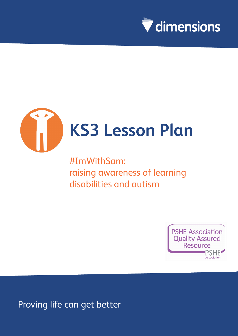



# **KS3 Lesson Plan**

#ImWithSam: raising awareness of learning disabilities and autism



Proving life can get better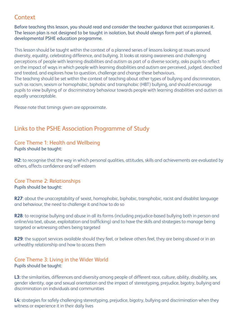### **Context**

Before teaching this lesson, you should read and consider the teacher guidance that accompanies it. The lesson plan is not designed to be taught in isolation, but should always form part of a planned, developmental PSHE education programme.

This lesson should be taught within the context of a planned series of lessons looking at issues around diversity, equality, celebrating difference, and bullying. It looks at raising awareness and challenging perceptions of people with learning disabilities and autism as part of a diverse society, asks pupils to reflect on the impact of ways in which people with learning disabilities and autism are perceived, judged, described and treated, and explores how to question, challenge and change these behaviours. The teaching should be set within the context of teaching about other types of bullying and discrimination, such as racism, sexism or homophobic, biphobic and transphobic (HBT) bullying, and should encourage pupils to view bullying of or discriminatory behaviour towards people with learning disabilities and autism as equally unacceptable.

Please note that timings given are approximate.

### Links to the PSHE Association Programme of Study

#### Core Theme 1: Health and Wellbeing Pupils should be taught:

**H2:** to recognise that the way in which personal qualities, attitudes, skills and achievements are evaluated by others, affects confidence and self-esteem

#### Core Theme 2: Relationships Pupils should be taught:

**R27**: about the unacceptability of sexist, homophobic, biphobic, transphobic, racist and disablist language and behaviour, the need to challenge it and how to do so

**R28**: to recognise bullying and abuse in all its forms (including prejudice-based bullying both in person and online/via text, abuse, exploitation and trafficking) and to have the skills and strategies to manage being targeted or witnessing others being targeted

**R29**: the support services available should they feel, or believe others feel, they are being abused or in an unhealthy relationship and how to access them

#### Core Theme 3: Living in the Wider World Pupils should be taught:

**L3:** the similarities, differences and diversity among people of different race, culture, ability, disability, sex, gender identity, age and sexual orientation and the impact of stereotyping, prejudice, bigotry, bullying and discrimination on individuals and communities

**L4:** strategies for safely challenging stereotyping, prejudice, bigotry, bullying and discrimination when they witness or experience it in their daily lives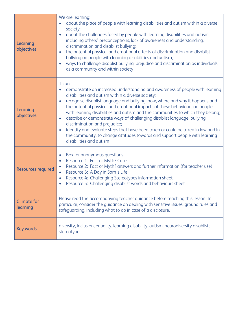| Learning<br>objectives         | We are learning:<br>about the place of people with learning disabilities and autism within a diverse<br>society;<br>about the challenges faced by people with learning disabilities and autism,<br>$\bullet$<br>including others' preconceptions, lack of awareness and understanding,<br>discrimination and disablist bullying;<br>the potential physical and emotional effects of discrimination and disablist<br>$\bullet$<br>bullying on people with learning disabilities and autism;<br>ways to challenge disablist bullying, prejudice and discrimination as individuals,<br>as a community and within society                                                                                                              |
|--------------------------------|------------------------------------------------------------------------------------------------------------------------------------------------------------------------------------------------------------------------------------------------------------------------------------------------------------------------------------------------------------------------------------------------------------------------------------------------------------------------------------------------------------------------------------------------------------------------------------------------------------------------------------------------------------------------------------------------------------------------------------|
| Learning<br>objectives         | I can:<br>demonstrate an increased understanding and awareness of people with learning<br>disabilities and autism within a diverse society;<br>recognise disablist language and bullying: how, where and why it happens and<br>$\bullet$<br>the potential physical and emotional impacts of these behaviours on people<br>with learning disabilities and autism and the communities to which they belong;<br>describe or demonstrate ways of challenging disablist language, bullying,<br>$\bullet$<br>discrimination and prejudice;<br>identify and evaluate steps that have been taken or could be taken in law and in<br>the community, to change attitudes towards and support people with learning<br>disabilities and autism |
| <b>Resources required</b>      | Box for anonymous questions<br>Resource 1: Fact or Myth? Cards<br>$\bullet$<br>Resource 2: Fact or Myth? answers and further information (for teacher use)<br>$\bullet$<br>Resource 3: A Day in Sam's Life<br>$\bullet$<br>Resource 4: Challenging Stereotypes information sheet<br>$\bullet$<br>Resource 5: Challenging disablist words and behaviours sheet                                                                                                                                                                                                                                                                                                                                                                      |
| <b>Climate for</b><br>learning | Please read the accompanying teacher quidance before teaching this lesson. In<br>particular, consider the guidance on dealing with sensitive issues, ground rules and<br>safequarding, including what to do in case of a disclosure.                                                                                                                                                                                                                                                                                                                                                                                                                                                                                               |
| <b>Key words</b>               | diversity, inclusion, equality, learning disability, autism, neurodiversity disablist;<br>stereotype                                                                                                                                                                                                                                                                                                                                                                                                                                                                                                                                                                                                                               |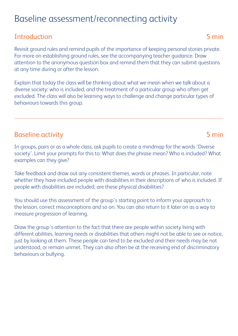# Baseline assessment/reconnecting activity

## Introduction 5 min

Revisit ground rules and remind pupils of the importance of keeping personal stories private. For more on establishing ground rules, see the accompanying teacher guidance. Draw attention to the anonymous question box and remind them that they can submit questions at any time during or after the lesson.

Explain that today the class will be thinking about what we mean when we talk about a diverse society: who is included, and the treatment of a particular group who often get excluded. The class will also be learning ways to challenge and change particular types of behaviours towards this group.

## Baseline activity **5 min**

In groups, pairs or as a whole class, ask pupils to create a mindmap for the words 'Diverse society'. Limit your prompts for this to: What does the phrase mean? Who is included? What examples can they give?

Take feedback and draw out any consistent themes, words or phrases. In particular, note whether they have included people with disabilities in their descriptions of who is included. If people with disabilities are included, are these physical disabilities?

You should use this assessment of the group's starting point to inform your approach to the lesson, correct misconceptions and so on. You can also return to it later on as a way to measure progression of learning.

Draw the group's attention to the fact that there are people within society living with different abilities, learning needs or disabilities that others might not be able to see or notice, just by looking at them. These people can tend to be excluded and their needs may be not understood, or remain unmet. They can also often be at the receiving end of discriminatory behaviours or bullying.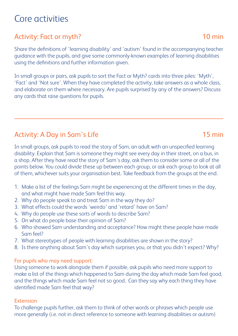# Core activities

# Activity: Fact or myth? 10 min

Share the definitions of 'learning disability' and 'autism' found in the accompanying teacher guidance with the pupils, and give some commonly-known examples of learning disabilities using the definitions and further information given.

In small groups or pairs, ask pupils to sort the Fact or Myth? cards into three piles: 'Myth', 'Fact' and 'Not sure'. When they have completed the activity, take answers as a whole class, and elaborate on them where necessary. Are pupils surprised by any of the answers? Discuss any cards that raise questions for pupils.

# Activity: A Day in Sam's Life 15 min

In small groups, ask pupils to read the story of Sam, an adult with an unspecified learning disability. Explain that Sam is someone they might see every day in their street, on a bus, in a shop. After they have read the story of Sam's day, ask them to consider some or all of the points below. You could divide these up between each group, or ask each group to look at all of them, whichever suits your organisation best. Take feedback from the groups at the end.

- 1. Make a list of the feelings Sam might be experiencing at the different times in the day, and what might have made Sam feel this way.
- 2. Why do people speak to and treat Sam in the way they do?
- 3. What effects could the words 'weirdo' and 'retard' have on Sam?
- 4. Why do people use these sorts of words to describe Sam?
- 5. On what do people base their opinion of Sam?
- 6. Who showed Sam understanding and acceptance? How might these people have made Sam feel?
- 7. What stereotypes of people with learning disabilities are shown in the story?
- 8. Is there anything about Sam's day which surprises you, or that you didn't expect? Why?

#### For pupils who may need support:

Using someone to work alongside them if possible, ask pupils who need more support to make a list of the things which happened to Sam during the day which made Sam feel good, and the things which made Sam feel not so good. Can they say why each thing they have identified made Sam feel that way?

#### Extension

To challenge pupils further, ask them to think of other words or phrases which people use more generally (i.e. not in direct reference to someone with learning disabilities or autism)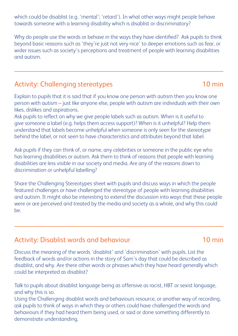which could be disablist (e.g. 'mental'; 'retard'). In what other ways might people behave towards someone with a learning disability which is disablist or discriminatory?

Why do people use the words or behave in the ways they have identified? Ask pupils to think beyond basic reasons such as 'they're just not very nice' to deeper emotions such as fear, or wider issues such as society's perceptions and treatment of people with learning disabilities and autism.

# Activity: Challenging stereotypes 10 min

Explain to pupils that it is said that if you know one person with autism then you know one person with autism – just like anyone else, people with autism are individuals with their own likes, dislikes and aspirations.

Ask pupils to reflect on why we give people labels such as autism. When is it useful to give someone a label (e.g. helps them access support)? When is it unhelpful? Help them understand that labels become unhelpful when someone is only seen for the stereotype behind the label, or not seen to have characteristics and attributes beyond that label.

Ask pupils if they can think of, or name, any celebrities or someone in the public eye who has learning disabilities or autism. Ask them to think of reasons that people with learning disabilities are less visible in our society and media. Are any of the reasons down to discrimination or unhelpful labelling?

Share the Challenging Stereotypes sheet with pupils and discuss ways in which the people featured challenges or have challenged the stereotype of people with learning disabilities and autism. It might also be interesting to extend the discussion into ways that these people were or are perceived and treated by the media and society as a whole, and why this could be.

## Activity: Disablist words and behaviour manufactured and  $10$  min

Discuss the meaning of the words 'disablist' and 'discrimination' with pupils. List the feedback of words and/or actions in the story of Sam's day that could be described as disablist, and why. Are there other words or phrases which they have heard generally which could be interpreted as disablist?

Talk to pupils about disablist language being as offensive as racist, HBT or sexist language, and why this is so.

Using the Challenging disablist words and behaviours resource, or another way of recording, ask pupils to think of ways in which they or others could have challenged the words and behaviours if they had heard them being used, or said or done something differently to demonstrate understanding.